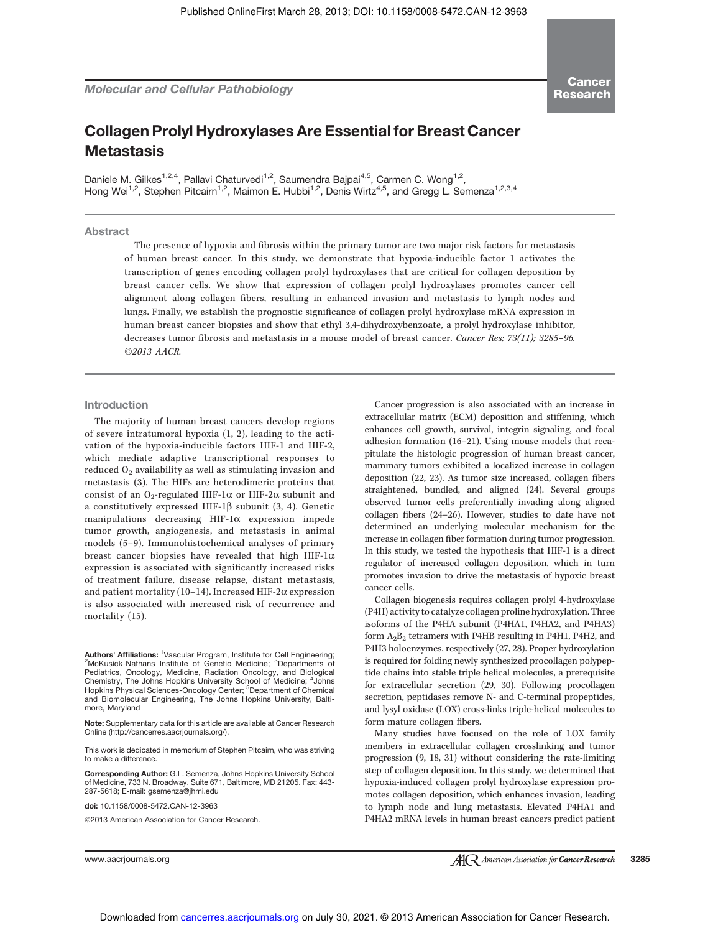Daniele M. Gilkes<sup>1,2,4</sup>, Pallavi Chaturvedi<sup>1,2</sup>, Saumendra Bajpai<sup>4,5</sup>, Carmen C. Wong<sup>1,2</sup>, Hong Wei<sup>1,2</sup>, Stephen Pitcairn<sup>1,2</sup>, Maimon E. Hubbi<sup>1,2</sup>, Denis Wirtz<sup>4,5</sup>, and Gregg L. Semenza<sup>1,2,3,4</sup>

# Abstract

**Metastasis** 

The presence of hypoxia and fibrosis within the primary tumor are two major risk factors for metastasis of human breast cancer. In this study, we demonstrate that hypoxia-inducible factor 1 activates the transcription of genes encoding collagen prolyl hydroxylases that are critical for collagen deposition by breast cancer cells. We show that expression of collagen prolyl hydroxylases promotes cancer cell alignment along collagen fibers, resulting in enhanced invasion and metastasis to lymph nodes and lungs. Finally, we establish the prognostic significance of collagen prolyl hydroxylase mRNA expression in human breast cancer biopsies and show that ethyl 3,4-dihydroxybenzoate, a prolyl hydroxylase inhibitor, decreases tumor fibrosis and metastasis in a mouse model of breast cancer. Cancer Res; 73(11); 3285–96. 2013 AACR.

Introduction

The majority of human breast cancers develop regions of severe intratumoral hypoxia (1, 2), leading to the activation of the hypoxia-inducible factors HIF-1 and HIF-2, which mediate adaptive transcriptional responses to reduced  $O_2$  availability as well as stimulating invasion and metastasis (3). The HIFs are heterodimeric proteins that consist of an O<sub>2</sub>-regulated HIF-1 $\alpha$  or HIF-2 $\alpha$  subunit and a constitutively expressed HIF-1 $\beta$  subunit (3, 4). Genetic manipulations decreasing HIF-1 $\alpha$  expression impede tumor growth, angiogenesis, and metastasis in animal models (5–9). Immunohistochemical analyses of primary breast cancer biopsies have revealed that high HIF-1 $\alpha$ expression is associated with significantly increased risks of treatment failure, disease relapse, distant metastasis, and patient mortality (10-14). Increased HIF-2 $\alpha$  expression is also associated with increased risk of recurrence and mortality (15).

This work is dedicated in memorium of Stephen Pitcairn, who was striving to make a difference.

Corresponding Author: G.L. Semenza, Johns Hopkins University School of Medicine, 733 N. Broadway, Suite 671, Baltimore, MD 21205. Fax: 443- 287-5618; E-mail: gsemenza@jhmi.edu

doi: 10.1158/0008-5472.CAN-12-3963

2013 American Association for Cancer Research.

Cancer progression is also associated with an increase in extracellular matrix (ECM) deposition and stiffening, which enhances cell growth, survival, integrin signaling, and focal adhesion formation (16–21). Using mouse models that recapitulate the histologic progression of human breast cancer, mammary tumors exhibited a localized increase in collagen deposition (22, 23). As tumor size increased, collagen fibers straightened, bundled, and aligned (24). Several groups observed tumor cells preferentially invading along aligned collagen fibers (24–26). However, studies to date have not determined an underlying molecular mechanism for the increase in collagen fiber formation during tumor progression. In this study, we tested the hypothesis that HIF-1 is a direct regulator of increased collagen deposition, which in turn promotes invasion to drive the metastasis of hypoxic breast cancer cells.

Collagen biogenesis requires collagen prolyl 4-hydroxylase (P4H) activity to catalyze collagen proline hydroxylation. Three isoforms of the P4HA subunit (P4HA1, P4HA2, and P4HA3) form  $A_2B_2$  tetramers with P4HB resulting in P4H1, P4H2, and P4H3 holoenzymes, respectively (27, 28). Proper hydroxylation is required for folding newly synthesized procollagen polypeptide chains into stable triple helical molecules, a prerequisite for extracellular secretion (29, 30). Following procollagen secretion, peptidases remove N- and C-terminal propeptides, and lysyl oxidase (LOX) cross-links triple-helical molecules to form mature collagen fibers.

Many studies have focused on the role of LOX family members in extracellular collagen crosslinking and tumor progression (9, 18, 31) without considering the rate-limiting step of collagen deposition. In this study, we determined that hypoxia-induced collagen prolyl hydroxylase expression promotes collagen deposition, which enhances invasion, leading to lymph node and lung metastasis. Elevated P4HA1 and P4HA2 mRNA levels in human breast cancers predict patient

Authors' Affiliations: <sup>1</sup>Vascular Program, Institute for Cell Engineering;<br><sup>2</sup>McKusick-Nathans Institute of Genetic Medicine; <sup>3</sup>Departments of Pediatrics, Oncology, Medicine, Radiation Oncology, and Biological Chemistry, The Johns Hopkins University School of Medicine; <sup>4</sup>Johns Hopkins Physical Sciences-Oncology Center; <sup>5</sup>Department of Chemical and Biomolecular Engineering, The Johns Hopkins University, Baltimore, Maryland

Note: Supplementary data for this article are available at Cancer Research Online (http://cancerres.aacrjournals.org/).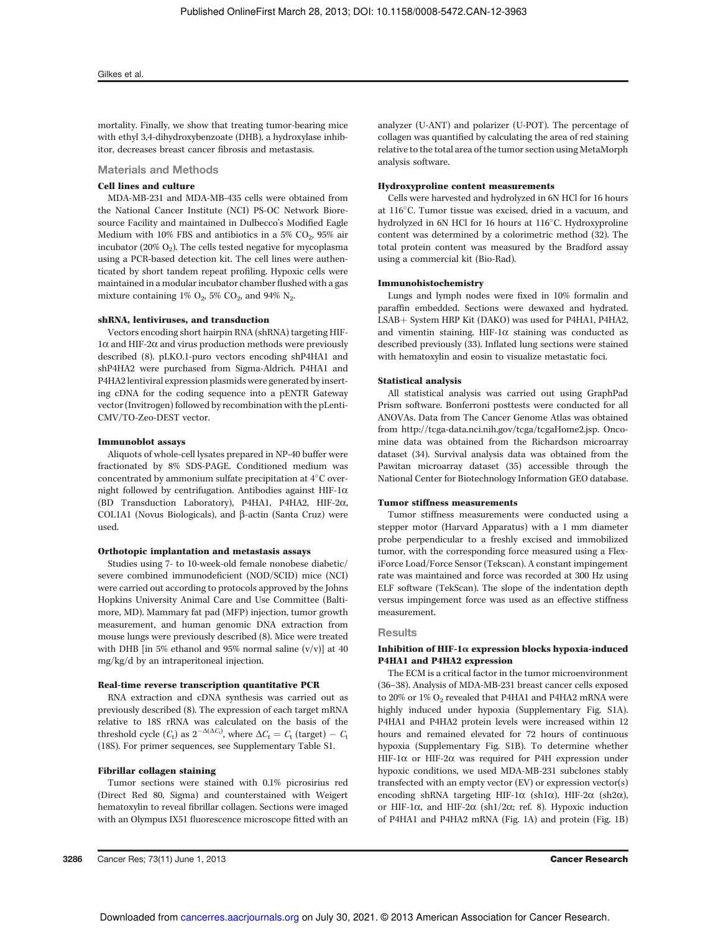mortality. Finally, we show that treating tumor-bearing mice with ethyl 3,4-dihydroxybenzoate (DHB), a hydroxylase inhibitor, decreases breast cancer fibrosis and metastasis.

#### Materials and Methods

#### Cell lines and culture

MDA-MB-231 and MDA-MB-435 cells were obtained from the National Cancer Institute (NCI) PS-OC Network Bioresource Facility and maintained in Dulbecco's Modified Eagle Medium with  $10\%$  FBS and antibiotics in a 5%  $CO_2$ , 95% air incubator (20%  $O_2$ ). The cells tested negative for mycoplasma using a PCR-based detection kit. The cell lines were authenticated by short tandem repeat profiling. Hypoxic cells were maintained in a modular incubator chamber flushed with a gas mixture containing  $1\%$  O<sub>2</sub>, 5% CO<sub>2</sub>, and 94% N<sub>2</sub> .

# shRNA, lentiviruses, and transduction

Vectors encoding short hairpin RNA (shRNA) targeting HIF- $1\alpha$  and HIF-2 $\alpha$  and virus production methods were previously described (8). pLKO.1-puro vectors encoding shP4HA1 and shP4HA2 were purchased from Sigma-Aldrich. P4HA1 and P4HA2 lentiviral expression plasmids were generated by inserting cDNA for the coding sequence into a pENTR Gateway vector (Invitrogen) followed by recombination with the pLenti-CMV/TO-Zeo-DEST vector.

#### Immunoblot assays

Aliquots of whole-cell lysates prepared in NP-40 buffer were fractionated by 8% SDS-PAGE. Conditioned medium was concentrated by ammonium sulfate precipitation at  $4^{\circ}$ C overnight followed by centrifugation. Antibodies against HIF-1 $\alpha$ (BD Transduction Laboratory), P4HA1, P4HA2, HIF-2a, COL1A1 (Novus Biologicals), and  $\beta$ -actin (Santa Cruz) were used.

#### Orthotopic implantation and metastasis assays

Studies using 7- to 10-week-old female nonobese diabetic/ severe combined immunodeficient (NOD/SCID) mice (NCI) were carried out according to protocols approved by the Johns Hopkins University Animal Care and Use Committee (Baltimore, MD). Mammary fat pad (MFP) injection, tumor growth measurement, and human genomic DNA extraction from mouse lungs were previously described (8). Mice were treated with DHB [in 5% ethanol and 95% normal saline  $(v/v)$ ] at 40 mg/kg/d by an intraperitoneal injection.

#### Real-time reverse transcription quantitative PCR

RNA extraction and cDNA synthesis was carried out as previously described (8). The expression of each target mRNA relative to 18S rRNA was calculated on the basis of the threshold cycle  $(C_t)$  as  $2^{-\Delta(\Delta C_t)}$ , where  $\Delta C_t = C_t$  (target) -  $C_t$ (18S). For primer sequences, see Supplementary Table S1.

### Fibrillar collagen staining

Tumor sections were stained with 0.1% picrosirius red (Direct Red 80, Sigma) and counterstained with Weigert hematoxylin to reveal fibrillar collagen. Sections were imaged with an Olympus IX51 fluorescence microscope fitted with an analyzer (U-ANT) and polarizer (U-POT). The percentage of collagen was quantified by calculating the area of red staining relative to the total area of the tumor section using MetaMorph analysis software.

### Hydroxyproline content measurements

Cells were harvested and hydrolyzed in 6N HCl for 16 hours at  $116^{\circ}$ C. Tumor tissue was excised, dried in a vacuum, and hydrolyzed in 6N HCl for 16 hours at 116°C. Hydroxyproline content was determined by a colorimetric method (32). The total protein content was measured by the Bradford assay using a commercial kit (Bio-Rad).

#### Immunohistochemistry

Lungs and lymph nodes were fixed in 10% formalin and paraffin embedded. Sections were dewaxed and hydrated. LSAB+ System HRP Kit (DAKO) was used for P4HA1, P4HA2, and vimentin staining. HIF-1 $\alpha$  staining was conducted as described previously (33). Inflated lung sections were stained with hematoxylin and eosin to visualize metastatic foci.

#### Statistical analysis

All statistical analysis was carried out using GraphPad Prism software. Bonferroni posttests were conducted for all ANOVAs. Data from The Cancer Genome Atlas was obtained from http://tcga-data.nci.nih.gov/tcga/tcgaHome2.jsp. Oncomine data was obtained from the Richardson microarray dataset (34). Survival analysis data was obtained from the Pawitan microarray dataset (35) accessible through the National Center for Biotechnology Information GEO database.

#### Tumor stiffness measurements

Tumor stiffness measurements were conducted using a stepper motor (Harvard Apparatus) with a 1 mm diameter probe perpendicular to a freshly excised and immobilized tumor, with the corresponding force measured using a FlexiForce Load/Force Sensor (Tekscan). A constant impingement rate was maintained and force was recorded at 300 Hz using ELF software (TekScan). The slope of the indentation depth versus impingement force was used as an effective stiffness measurement.

#### **Results**

# Inhibition of HIF-1 $\alpha$  expression blocks hypoxia-induced P4HA1 and P4HA2 expression

The ECM is a critical factor in the tumor microenvironment (36–38). Analysis of MDA-MB-231 breast cancer cells exposed to 20% or 1%  $O_2$  revealed that P4HA1 and P4HA2 mRNA were highly induced under hypoxia (Supplementary Fig. S1A). P4HA1 and P4HA2 protein levels were increased within 12 hours and remained elevated for 72 hours of continuous hypoxia (Supplementary Fig. S1B). To determine whether HIF-1 $\alpha$  or HIF-2 $\alpha$  was required for P4H expression under hypoxic conditions, we used MDA-MB-231 subclones stably transfected with an empty vector (EV) or expression vector(s) encoding shRNA targeting HIF-1 $\alpha$  (sh1 $\alpha$ ), HIF-2 $\alpha$  (sh2 $\alpha$ ), or HIF-1 $\alpha$ , and HIF-2 $\alpha$  (sh1/2 $\alpha$ ; ref. 8). Hypoxic induction of P4HA1 and P4HA2 mRNA (Fig. 1A) and protein (Fig. 1B)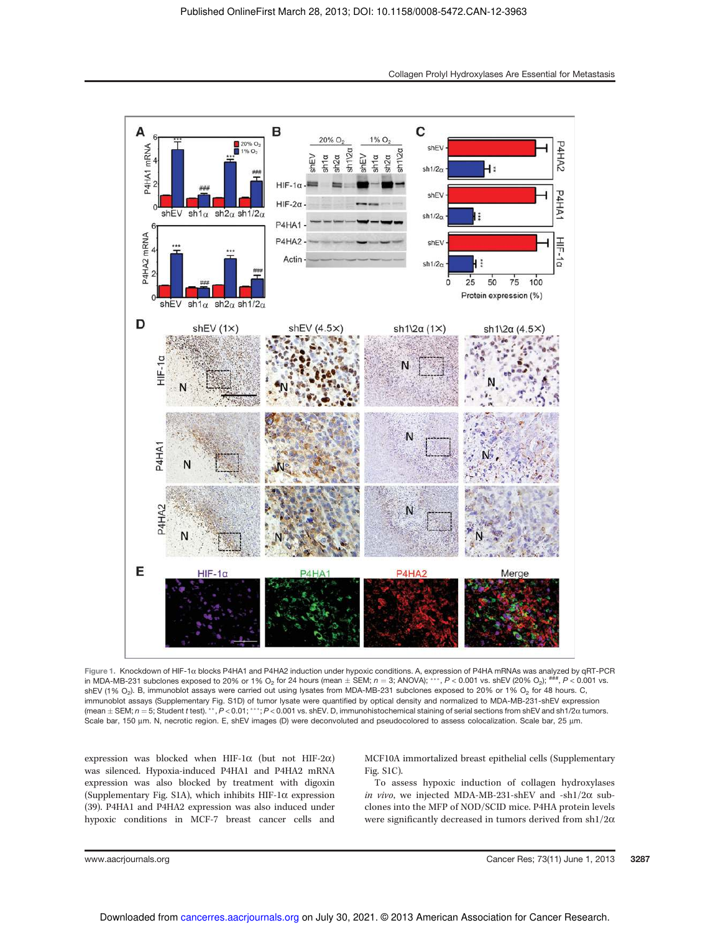

Figure 1. Knockdown of HIF-1 $\alpha$  blocks P4HA1 and P4HA2 induction under hypoxic conditions. A, expression of P4HA mRNAs was analyzed by qRT-PCR in MDA-MB-231 subclones exposed to 20% or 1% O<sub>2</sub> for 24 hours (mean  $\pm$  SEM; n = 3; ANOVA); \*\*\*, P < 0.001 vs. shEV (20% O<sub>2</sub>); ###, P < 0.001 vs. shEV (1% O<sub>2</sub>). B, immunoblot assays were carried out using lysates from MDA-MB-231 subclones exposed to 20% or 1% O<sub>2</sub> for 48 hours. C, immunoblot assays (Supplementary Fig. S1D) of tumor lysate were quantified by optical density and normalized to MDA-MB-231-shEV expression (mean  $\pm$  SEM;  $n = 5$ ; Student t test).  $**$ ,  $P < 0.01$ ;  $***$ ;  $P < 0.001$  vs. shEV. D, immunohistochemical staining of serial sections from shEV and sh1/2 $\alpha$  tumors. Scale bar, 150 µm. N, necrotic region. E, shEV images (D) were deconvoluted and pseudocolored to assess colocalization. Scale bar, 25 µm.

expression was blocked when HIF-1 $\alpha$  (but not HIF-2 $\alpha$ ) was silenced. Hypoxia-induced P4HA1 and P4HA2 mRNA expression was also blocked by treatment with digoxin (Supplementary Fig. S1A), which inhibits HIF-1 $\alpha$  expression (39). P4HA1 and P4HA2 expression was also induced under hypoxic conditions in MCF-7 breast cancer cells and MCF10A immortalized breast epithelial cells (Supplementary Fig. S1C).

To assess hypoxic induction of collagen hydroxylases in vivo, we injected MDA-MB-231-shEV and -sh1/2 $\alpha$  subclones into the MFP of NOD/SCID mice. P4HA protein levels were significantly decreased in tumors derived from  $\text{sh1}/2\alpha$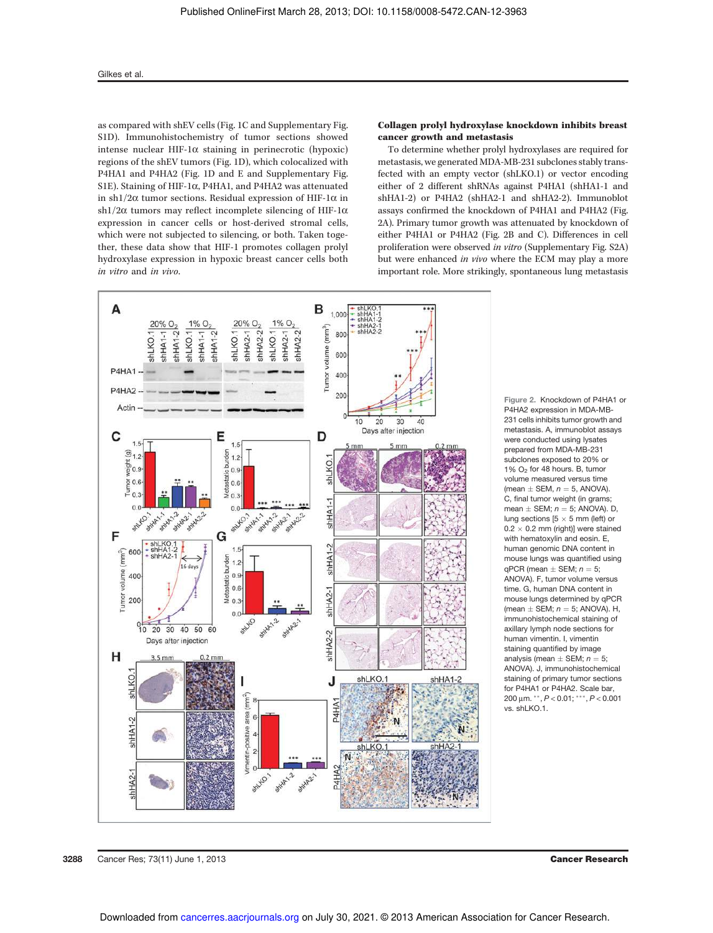as compared with shEV cells (Fig. 1C and Supplementary Fig. S1D). Immunohistochemistry of tumor sections showed intense nuclear HIF-1 $\alpha$  staining in perinecrotic (hypoxic) regions of the shEV tumors (Fig. 1D), which colocalized with P4HA1 and P4HA2 (Fig. 1D and E and Supplementary Fig. S1E). Staining of HIF-1 $\alpha$ , P4HA1, and P4HA2 was attenuated in sh1/2 $\alpha$  tumor sections. Residual expression of HIF-1 $\alpha$  in sh1/2 $\alpha$  tumors may reflect incomplete silencing of HIF-1 $\alpha$ expression in cancer cells or host-derived stromal cells, which were not subjected to silencing, or both. Taken together, these data show that HIF-1 promotes collagen prolyl hydroxylase expression in hypoxic breast cancer cells both in vitro and in vivo.

# Collagen prolyl hydroxylase knockdown inhibits breast cancer growth and metastasis

To determine whether prolyl hydroxylases are required for metastasis, we generated MDA-MB-231 subclones stably transfected with an empty vector (shLKO.1) or vector encoding either of 2 different shRNAs against P4HA1 (shHA1-1 and shHA1-2) or P4HA2 (shHA2-1 and shHA2-2). Immunoblot assays confirmed the knockdown of P4HA1 and P4HA2 (Fig. 2A). Primary tumor growth was attenuated by knockdown of either P4HA1 or P4HA2 (Fig. 2B and C). Differences in cell proliferation were observed in vitro (Supplementary Fig. S2A) but were enhanced in vivo where the ECM may play a more important role. More strikingly, spontaneous lung metastasis



Figure 2. Knockdown of P4HA1 or P4HA2 expression in MDA-MB-231 cells inhibits tumor growth and metastasis. A, immunoblot assays were conducted using lysates prepared from MDA-MB-231 subclones exposed to 20% or 1% O<sup>2</sup> for 48 hours. B, tumor volume measured versus time (mean  $\pm$  SEM,  $n = 5$ , ANOVA). C, final tumor weight (in grams; mean  $\pm$  SEM;  $n = 5$ ; ANOVA). D, lung sections  $[5 \times 5$  mm (left) or  $0.2 \times 0.2$  mm (right)] were stained with hematoxylin and eosin. E. human genomic DNA content in mouse lungs was quantified using qPCR (mean  $\pm$  SEM;  $n = 5$ ; ANOVA). F, tumor volume versus time. G, human DNA content in mouse lungs determined by qPCR (mean  $\pm$  SEM;  $n = 5$ ; ANOVA). H, immunohistochemical staining of axillary lymph node sections for human vimentin. I, vimentin staining quantified by image analysis (mean  $\pm$  SEM;  $n = 5$ ; ANOVA). J, immunohistochemical staining of primary tumor sections for P4HA1 or P4HA2. Scale bar, 200 μm. \*\*,  $P < 0.01$ ; \*\*\*,  $P < 0.001$ vs. shLKO.1.

**3288** Cancer Res; 73(11) June 1, 2013 Cancer Research Cancer Research Cancer Research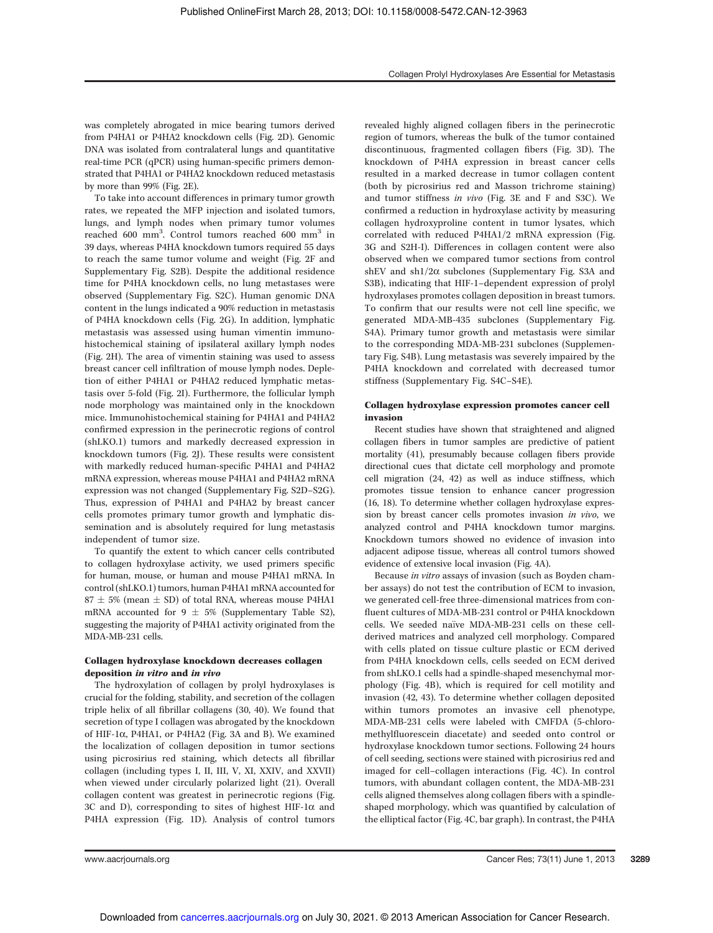was completely abrogated in mice bearing tumors derived from P4HA1 or P4HA2 knockdown cells (Fig. 2D). Genomic DNA was isolated from contralateral lungs and quantitative real-time PCR (qPCR) using human-specific primers demonstrated that P4HA1 or P4HA2 knockdown reduced metastasis by more than 99% (Fig. 2E).

To take into account differences in primary tumor growth rates, we repeated the MFP injection and isolated tumors, lungs, and lymph nodes when primary tumor volumes reached 600 mm<sup>3</sup>. Control tumors reached 600 mm<sup>3</sup> in 39 days, whereas P4HA knockdown tumors required 55 days to reach the same tumor volume and weight (Fig. 2F and Supplementary Fig. S2B). Despite the additional residence time for P4HA knockdown cells, no lung metastases were observed (Supplementary Fig. S2C). Human genomic DNA content in the lungs indicated a 90% reduction in metastasis of P4HA knockdown cells (Fig. 2G). In addition, lymphatic metastasis was assessed using human vimentin immunohistochemical staining of ipsilateral axillary lymph nodes (Fig. 2H). The area of vimentin staining was used to assess breast cancer cell infiltration of mouse lymph nodes. Depletion of either P4HA1 or P4HA2 reduced lymphatic metastasis over 5-fold (Fig. 2I). Furthermore, the follicular lymph node morphology was maintained only in the knockdown mice. Immunohistochemical staining for P4HA1 and P4HA2 confirmed expression in the perinecrotic regions of control (shLKO.1) tumors and markedly decreased expression in knockdown tumors (Fig. 2J). These results were consistent with markedly reduced human-specific P4HA1 and P4HA2 mRNA expression, whereas mouse P4HA1 and P4HA2 mRNA expression was not changed (Supplementary Fig. S2D–S2G). Thus, expression of P4HA1 and P4HA2 by breast cancer cells promotes primary tumor growth and lymphatic dissemination and is absolutely required for lung metastasis independent of tumor size.

To quantify the extent to which cancer cells contributed to collagen hydroxylase activity, we used primers specific for human, mouse, or human and mouse P4HA1 mRNA. In control (shLKO.1) tumors, human P4HA1 mRNA accounted for  $87 \pm 5\%$  (mean  $\pm$  SD) of total RNA, whereas mouse P4HA1 mRNA accounted for  $9 \pm 5\%$  (Supplementary Table S2), suggesting the majority of P4HA1 activity originated from the MDA-MB-231 cells.

# Collagen hydroxylase knockdown decreases collagen deposition in vitro and in vivo

The hydroxylation of collagen by prolyl hydroxylases is crucial for the folding, stability, and secretion of the collagen triple helix of all fibrillar collagens (30, 40). We found that secretion of type I collagen was abrogated by the knockdown of HIF-1a, P4HA1, or P4HA2 (Fig. 3A and B). We examined the localization of collagen deposition in tumor sections using picrosirius red staining, which detects all fibrillar collagen (including types I, II, III, V, XI, XXIV, and XXVII) when viewed under circularly polarized light (21). Overall collagen content was greatest in perinecrotic regions (Fig. 3C and D), corresponding to sites of highest HIF-1 $\alpha$  and P4HA expression (Fig. 1D). Analysis of control tumors revealed highly aligned collagen fibers in the perinecrotic region of tumors, whereas the bulk of the tumor contained discontinuous, fragmented collagen fibers (Fig. 3D). The knockdown of P4HA expression in breast cancer cells resulted in a marked decrease in tumor collagen content (both by picrosirius red and Masson trichrome staining) and tumor stiffness in vivo (Fig. 3E and F and S3C). We confirmed a reduction in hydroxylase activity by measuring collagen hydroxyproline content in tumor lysates, which correlated with reduced P4HA1/2 mRNA expression (Fig. 3G and S2H-I). Differences in collagen content were also observed when we compared tumor sections from control shEV and  $\frac{\text{sh}V}{2\alpha}$  subclones (Supplementary Fig. S3A and S3B), indicating that HIF-1–dependent expression of prolyl hydroxylases promotes collagen deposition in breast tumors. To confirm that our results were not cell line specific, we generated MDA-MB-435 subclones (Supplementary Fig. S4A). Primary tumor growth and metastasis were similar to the corresponding MDA-MB-231 subclones (Supplementary Fig. S4B). Lung metastasis was severely impaired by the P4HA knockdown and correlated with decreased tumor stiffness (Supplementary Fig. S4C–S4E).

## Collagen hydroxylase expression promotes cancer cell invasion

Recent studies have shown that straightened and aligned collagen fibers in tumor samples are predictive of patient mortality (41), presumably because collagen fibers provide directional cues that dictate cell morphology and promote cell migration (24, 42) as well as induce stiffness, which promotes tissue tension to enhance cancer progression (16, 18). To determine whether collagen hydroxylase expression by breast cancer cells promotes invasion in vivo, we analyzed control and P4HA knockdown tumor margins. Knockdown tumors showed no evidence of invasion into adjacent adipose tissue, whereas all control tumors showed evidence of extensive local invasion (Fig. 4A).

Because in vitro assays of invasion (such as Boyden chamber assays) do not test the contribution of ECM to invasion, we generated cell-free three-dimensional matrices from confluent cultures of MDA-MB-231 control or P4HA knockdown cells. We seeded naïve MDA-MB-231 cells on these cellderived matrices and analyzed cell morphology. Compared with cells plated on tissue culture plastic or ECM derived from P4HA knockdown cells, cells seeded on ECM derived from shLKO.1 cells had a spindle-shaped mesenchymal morphology (Fig. 4B), which is required for cell motility and invasion (42, 43). To determine whether collagen deposited within tumors promotes an invasive cell phenotype, MDA-MB-231 cells were labeled with CMFDA (5-chloromethylfluorescein diacetate) and seeded onto control or hydroxylase knockdown tumor sections. Following 24 hours of cell seeding, sections were stained with picrosirius red and imaged for cell–collagen interactions (Fig. 4C). In control tumors, with abundant collagen content, the MDA-MB-231 cells aligned themselves along collagen fibers with a spindleshaped morphology, which was quantified by calculation of the elliptical factor (Fig. 4C, bar graph). In contrast, the P4HA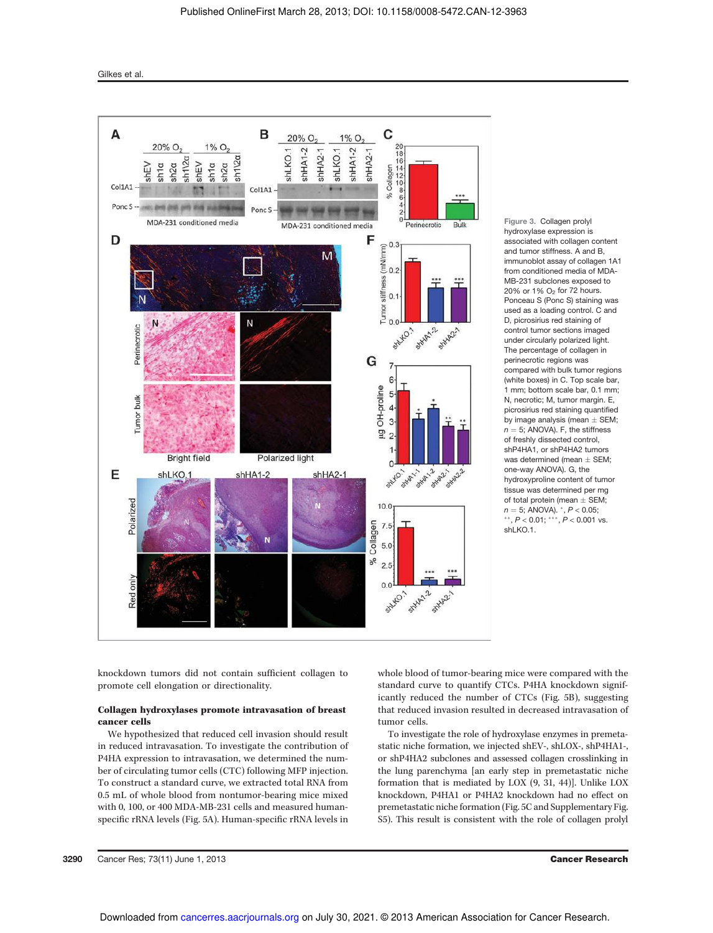

Figure 3. Collagen prolyl hydroxylase expression is associated with collagen content and tumor stiffness. A and B, immunoblot assay of collagen 1A1 from conditioned media of MDA-MB-231 subclones exposed to 20% or 1% O<sup>2</sup> for 72 hours. Ponceau S (Ponc S) staining was used as a loading control. C and D, picrosirius red staining of control tumor sections imaged under circularly polarized light. The percentage of collagen in perinecrotic regions was compared with bulk tumor regions (white boxes) in C. Top scale bar, 1 mm; bottom scale bar, 0.1 mm; N, necrotic; M, tumor margin. E, picrosirius red staining quantified by image analysis (mean  $\pm$  SEM;  $n = 5$ : ANOVA). F, the stiffness of freshly dissected control, shP4HA1, or shP4HA2 tumors was determined (mean  $\pm$  SEM; one-way ANOVA). G, the hydroxyproline content of tumor tissue was determined per mg of total protein (mean  $\pm$  SEM;  $n = 5$ ; ANOVA).  $^{*}$ ,  $P < 0.05$ ;  $**$ ,  $P < 0.01$ ;  $***$ ,  $P < 0.001$  vs. shLKO.1.

knockdown tumors did not contain sufficient collagen to promote cell elongation or directionality.

# Collagen hydroxylases promote intravasation of breast cancer cells

We hypothesized that reduced cell invasion should result in reduced intravasation. To investigate the contribution of P4HA expression to intravasation, we determined the number of circulating tumor cells (CTC) following MFP injection. To construct a standard curve, we extracted total RNA from 0.5 mL of whole blood from nontumor-bearing mice mixed with 0, 100, or 400 MDA-MB-231 cells and measured humanspecific rRNA levels (Fig. 5A). Human-specific rRNA levels in whole blood of tumor-bearing mice were compared with the standard curve to quantify CTCs. P4HA knockdown significantly reduced the number of CTCs (Fig. 5B), suggesting that reduced invasion resulted in decreased intravasation of tumor cells.

To investigate the role of hydroxylase enzymes in premetastatic niche formation, we injected shEV-, shLOX-, shP4HA1-, or shP4HA2 subclones and assessed collagen crosslinking in the lung parenchyma [an early step in premetastatic niche formation that is mediated by LOX (9, 31, 44)]. Unlike LOX knockdown, P4HA1 or P4HA2 knockdown had no effect on premetastatic niche formation (Fig. 5C and Supplementary Fig. S5). This result is consistent with the role of collagen prolyl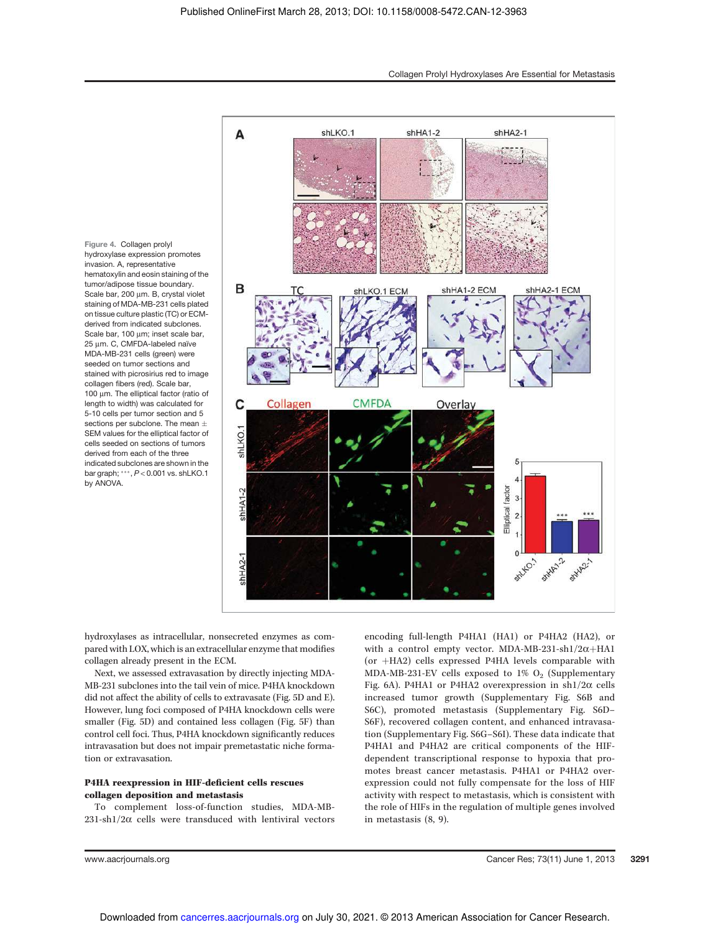Figure 4. Collagen prolyl hydroxylase expression promotes invasion. A, representative hematoxylin and eosin staining of the tumor/adipose tissue boundary. Scale bar, 200 µm. B, crystal violet staining of MDA-MB-231 cells plated on tissue culture plastic (TC) or ECMderived from indicated subclones. Scale bar, 100 um; inset scale bar, 25 um. C, CMFDA-labeled naïve MDA-MB-231 cells (green) were seeded on tumor sections and stained with picrosirius red to image collagen fibers (red). Scale bar, 100 μm. The elliptical factor (ratio of length to width) was calculated for 5-10 cells per tumor section and 5 sections per subclone. The mean + SEM values for the elliptical factor of cells seeded on sections of tumors derived from each of the three indicated subclones are shown in the bar graph; \*\*\*, P < 0.001 vs. shLKO.1 by ANOVA.



hydroxylases as intracellular, nonsecreted enzymes as compared with LOX, which is an extracellular enzyme that modifies collagen already present in the ECM.

Next, we assessed extravasation by directly injecting MDA-MB-231 subclones into the tail vein of mice. P4HA knockdown did not affect the ability of cells to extravasate (Fig. 5D and E). However, lung foci composed of P4HA knockdown cells were smaller (Fig. 5D) and contained less collagen (Fig. 5F) than control cell foci. Thus, P4HA knockdown significantly reduces intravasation but does not impair premetastatic niche formation or extravasation.

# P4HA reexpression in HIF-deficient cells rescues collagen deposition and metastasis

To complement loss-of-function studies, MDA-MB- $231$ -sh $1/2\alpha$  cells were transduced with lentiviral vectors encoding full-length P4HA1 (HA1) or P4HA2 (HA2), or with a control empty vector. MDA-MB-231-sh1/2 $\alpha$ +HA1 (or  $+HA2$ ) cells expressed P4HA levels comparable with MDA-MB-231-EV cells exposed to  $1\%$  O<sub>2</sub> (Supplementary Fig. 6A). P4HA1 or P4HA2 overexpression in sh1/2 $\alpha$  cells increased tumor growth (Supplementary Fig. S6B and S6C), promoted metastasis (Supplementary Fig. S6D– S6F), recovered collagen content, and enhanced intravasation (Supplementary Fig. S6G–S6I). These data indicate that P4HA1 and P4HA2 are critical components of the HIFdependent transcriptional response to hypoxia that promotes breast cancer metastasis. P4HA1 or P4HA2 overexpression could not fully compensate for the loss of HIF activity with respect to metastasis, which is consistent with the role of HIFs in the regulation of multiple genes involved in metastasis (8, 9).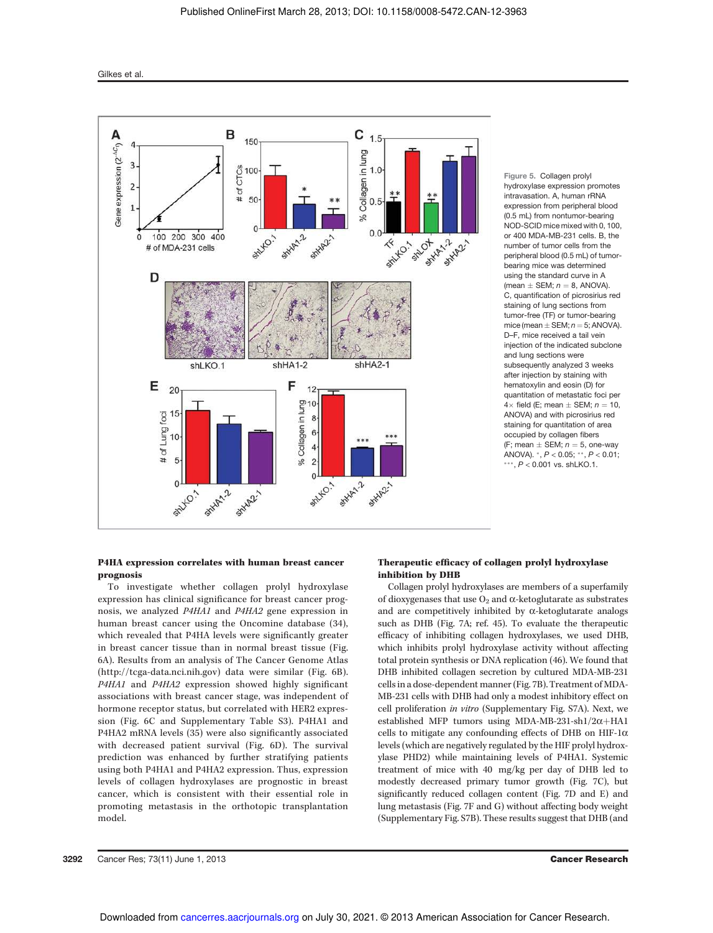

Figure 5. Collagen prolyl hydroxylase expression promotes intravasation. A, human rRNA expression from peripheral blood (0.5 mL) from nontumor-bearing NOD-SCID mice mixed with 0, 100, or 400 MDA-MB-231 cells. B, the number of tumor cells from the peripheral blood (0.5 mL) of tumorbearing mice was determined using the standard curve in A (mean  $\pm$  SEM;  $n = 8$ , ANOVA). C, quantification of picrosirius red staining of lung sections from tumor-free (TF) or tumor-bearing mice (mean  $\pm$  SEM;  $n = 5$ ; ANOVA). D–F, mice received a tail vein injection of the indicated subclone and lung sections were subsequently analyzed 3 weeks after injection by staining with hematoxylin and eosin (D) for quantitation of metastatic foci per  $4 \times$  field (F; mean + SFM;  $n = 10$ ) ANOVA) and with picrosirius red staining for quantitation of area occupied by collagen fibers (F; mean  $\pm$  SEM;  $n = 5$ , one-way ANOVA). \*,  $P < 0.05$ ; \*\*,  $P < 0.01$ ;  $***, P < 0.001$  vs. shLKO.1.

# P4HA expression correlates with human breast cancer prognosis

To investigate whether collagen prolyl hydroxylase expression has clinical significance for breast cancer prognosis, we analyzed P4HA1 and P4HA2 gene expression in human breast cancer using the Oncomine database (34), which revealed that P4HA levels were significantly greater in breast cancer tissue than in normal breast tissue (Fig. 6A). Results from an analysis of The Cancer Genome Atlas (http://tcga-data.nci.nih.gov) data were similar (Fig. 6B). P4HA1 and P4HA2 expression showed highly significant associations with breast cancer stage, was independent of hormone receptor status, but correlated with HER2 expression (Fig. 6C and Supplementary Table S3). P4HA1 and P4HA2 mRNA levels (35) were also significantly associated with decreased patient survival (Fig. 6D). The survival prediction was enhanced by further stratifying patients using both P4HA1 and P4HA2 expression. Thus, expression levels of collagen hydroxylases are prognostic in breast cancer, which is consistent with their essential role in promoting metastasis in the orthotopic transplantation model.

# Therapeutic efficacy of collagen prolyl hydroxylase inhibition by DHB

Collagen prolyl hydroxylases are members of a superfamily of dioxygenases that use  $O_2$  and  $\alpha$ -ketoglutarate as substrates and are competitively inhibited by  $\alpha$ -ketoglutarate analogs such as DHB (Fig. 7A; ref. 45). To evaluate the therapeutic efficacy of inhibiting collagen hydroxylases, we used DHB, which inhibits prolyl hydroxylase activity without affecting total protein synthesis or DNA replication (46). We found that DHB inhibited collagen secretion by cultured MDA-MB-231 cells in a dose-dependent manner (Fig. 7B). Treatment of MDA-MB-231 cells with DHB had only a modest inhibitory effect on cell proliferation in vitro (Supplementary Fig. S7A). Next, we established MFP tumors using MDA-MB-231-sh1/2 $\alpha$ +HA1 cells to mitigate any confounding effects of DHB on HIF-1 $\alpha$ levels (which are negatively regulated by the HIF prolyl hydroxylase PHD2) while maintaining levels of P4HA1. Systemic treatment of mice with 40 mg/kg per day of DHB led to modestly decreased primary tumor growth (Fig. 7C), but significantly reduced collagen content (Fig. 7D and E) and lung metastasis (Fig. 7F and G) without affecting body weight (Supplementary Fig. S7B). These results suggest that DHB (and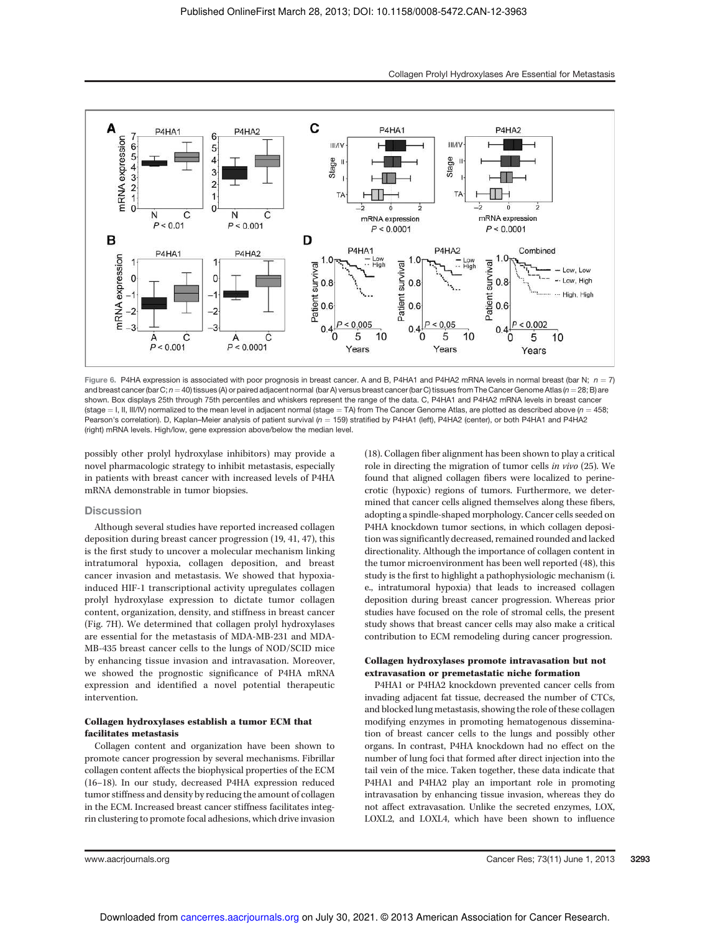

Figure 6. P4HA expression is associated with poor prognosis in breast cancer. A and B, P4HA1 and P4HA2 mRNA levels in normal breast (bar N;  $n = 7$ ) and breast cancer (bar C;  $n = 40$ ) tissues (A) or paired adjacent normal (bar A) versus breast cancer (bar C) tissues from The Cancer Genome Atlas ( $n = 28$ ; B) are shown. Box displays 25th through 75th percentiles and whiskers represent the range of the data. C, P4HA1 and P4HA2 mRNA levels in breast cancer (stage = I, II, III/IV) normalized to the mean level in adjacent normal (stage = TA) from The Cancer Genome Atlas, are plotted as described above (n = 458; Pearson's correlation). D, Kaplan–Meier analysis of patient survival (n = 159) stratified by P4HA1 (left), P4HA2 (center), or both P4HA1 and P4HA2 (right) mRNA levels. High/low, gene expression above/below the median level.

possibly other prolyl hydroxylase inhibitors) may provide a novel pharmacologic strategy to inhibit metastasis, especially in patients with breast cancer with increased levels of P4HA mRNA demonstrable in tumor biopsies.

#### **Discussion**

Although several studies have reported increased collagen deposition during breast cancer progression (19, 41, 47), this is the first study to uncover a molecular mechanism linking intratumoral hypoxia, collagen deposition, and breast cancer invasion and metastasis. We showed that hypoxiainduced HIF-1 transcriptional activity upregulates collagen prolyl hydroxylase expression to dictate tumor collagen content, organization, density, and stiffness in breast cancer (Fig. 7H). We determined that collagen prolyl hydroxylases are essential for the metastasis of MDA-MB-231 and MDA-MB-435 breast cancer cells to the lungs of NOD/SCID mice by enhancing tissue invasion and intravasation. Moreover, we showed the prognostic significance of P4HA mRNA expression and identified a novel potential therapeutic intervention.

# Collagen hydroxylases establish a tumor ECM that facilitates metastasis

Collagen content and organization have been shown to promote cancer progression by several mechanisms. Fibrillar collagen content affects the biophysical properties of the ECM (16–18). In our study, decreased P4HA expression reduced tumor stiffness and density by reducing the amount of collagen in the ECM. Increased breast cancer stiffness facilitates integrin clustering to promote focal adhesions, which drive invasion (18). Collagen fiber alignment has been shown to play a critical role in directing the migration of tumor cells in vivo (25). We found that aligned collagen fibers were localized to perinecrotic (hypoxic) regions of tumors. Furthermore, we determined that cancer cells aligned themselves along these fibers, adopting a spindle-shaped morphology. Cancer cells seeded on P4HA knockdown tumor sections, in which collagen deposition was significantly decreased, remained rounded and lacked directionality. Although the importance of collagen content in the tumor microenvironment has been well reported (48), this study is the first to highlight a pathophysiologic mechanism (i. e., intratumoral hypoxia) that leads to increased collagen deposition during breast cancer progression. Whereas prior studies have focused on the role of stromal cells, the present study shows that breast cancer cells may also make a critical contribution to ECM remodeling during cancer progression.

# Collagen hydroxylases promote intravasation but not extravasation or premetastatic niche formation

P4HA1 or P4HA2 knockdown prevented cancer cells from invading adjacent fat tissue, decreased the number of CTCs, and blocked lung metastasis, showing the role of these collagen modifying enzymes in promoting hematogenous dissemination of breast cancer cells to the lungs and possibly other organs. In contrast, P4HA knockdown had no effect on the number of lung foci that formed after direct injection into the tail vein of the mice. Taken together, these data indicate that P4HA1 and P4HA2 play an important role in promoting intravasation by enhancing tissue invasion, whereas they do not affect extravasation. Unlike the secreted enzymes, LOX, LOXL2, and LOXL4, which have been shown to influence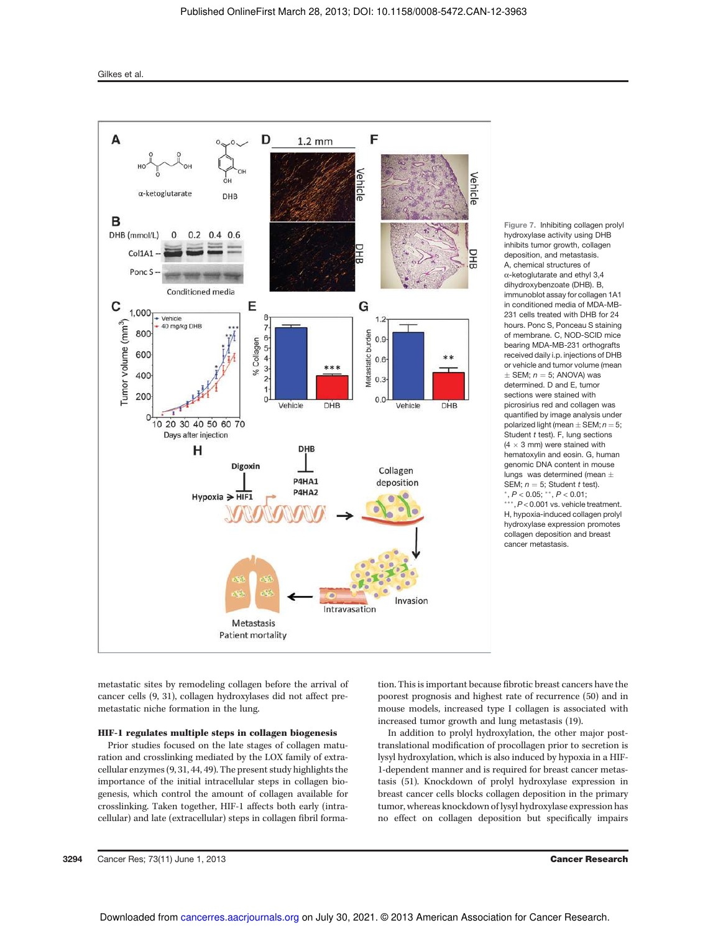

Figure 7. Inhibiting collagen prolyl hydroxylase activity using DHB inhibits tumor growth, collagen deposition, and metastasis. A, chemical structures of  $\alpha$ -ketoglutarate and ethyl 3,4 dihydroxybenzoate (DHB). B, immunoblot assay for collagen 1A1 in conditioned media of MDA-MB-231 cells treated with DHB for 24 hours. Ponc S, Ponceau S staining of membrane. C, NOD-SCID mice bearing MDA-MB-231 orthografts received daily i.p. injections of DHB or vehicle and tumor volume (mean  $+$  SEM;  $n = 5$ ; ANOVA) was determined. D and E, tumor sections were stained with picrosirius red and collagen was quantified by image analysis under polarized light (mean  $\pm$  SEM;  $n = 5$ ; Student  $t$  test). F, lung sections  $(4 \times 3$  mm) were stained with hematoxylin and eosin. G, human genomic DNA content in mouse lungs was determined (mean  $\pm$ SEM;  $n = 5$ ; Student t test).  $^*$ ,  $P < 0.05$ ;  $^{**}$ ,  $P < 0.01$ ;

 $***$ ,  $P < 0.001$  vs. vehicle treatment. H, hypoxia-induced collagen prolyl hydroxylase expression promotes collagen deposition and breast cancer metastasis.

metastatic sites by remodeling collagen before the arrival of cancer cells (9, 31), collagen hydroxylases did not affect premetastatic niche formation in the lung.

# HIF-1 regulates multiple steps in collagen biogenesis

Prior studies focused on the late stages of collagen maturation and crosslinking mediated by the LOX family of extracellular enzymes (9, 31, 44, 49). The present study highlights the importance of the initial intracellular steps in collagen biogenesis, which control the amount of collagen available for crosslinking. Taken together, HIF-1 affects both early (intracellular) and late (extracellular) steps in collagen fibril formation. This is important because fibrotic breast cancers have the poorest prognosis and highest rate of recurrence (50) and in mouse models, increased type I collagen is associated with increased tumor growth and lung metastasis (19).

In addition to prolyl hydroxylation, the other major posttranslational modification of procollagen prior to secretion is lysyl hydroxylation, which is also induced by hypoxia in a HIF-1-dependent manner and is required for breast cancer metastasis (51). Knockdown of prolyl hydroxylase expression in breast cancer cells blocks collagen deposition in the primary tumor, whereas knockdown of lysyl hydroxylase expression has no effect on collagen deposition but specifically impairs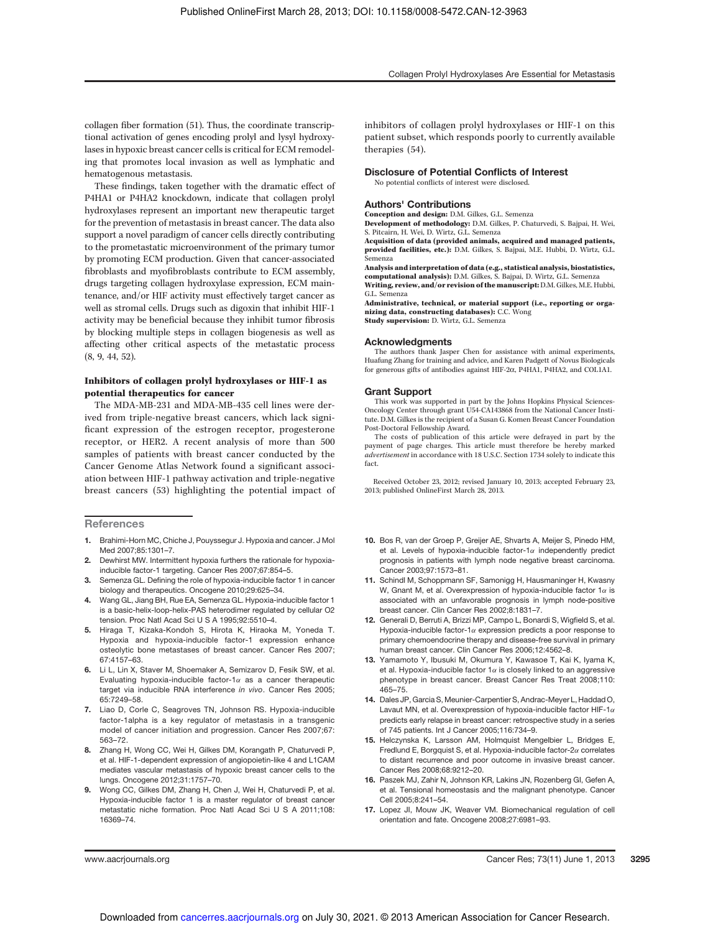Collagen Prolyl Hydroxylases Are Essential for Metastasis

collagen fiber formation (51). Thus, the coordinate transcriptional activation of genes encoding prolyl and lysyl hydroxylases in hypoxic breast cancer cells is critical for ECM remodeling that promotes local invasion as well as lymphatic and hematogenous metastasis.

These findings, taken together with the dramatic effect of P4HA1 or P4HA2 knockdown, indicate that collagen prolyl hydroxylases represent an important new therapeutic target for the prevention of metastasis in breast cancer. The data also support a novel paradigm of cancer cells directly contributing to the prometastatic microenvironment of the primary tumor by promoting ECM production. Given that cancer-associated fibroblasts and myofibroblasts contribute to ECM assembly, drugs targeting collagen hydroxylase expression, ECM maintenance, and/or HIF activity must effectively target cancer as well as stromal cells. Drugs such as digoxin that inhibit HIF-1 activity may be beneficial because they inhibit tumor fibrosis by blocking multiple steps in collagen biogenesis as well as affecting other critical aspects of the metastatic process (8, 9, 44, 52).

# Inhibitors of collagen prolyl hydroxylases or HIF-1 as potential therapeutics for cancer

The MDA-MB-231 and MDA-MB-435 cell lines were derived from triple-negative breast cancers, which lack significant expression of the estrogen receptor, progesterone receptor, or HER2. A recent analysis of more than 500 samples of patients with breast cancer conducted by the Cancer Genome Atlas Network found a significant association between HIF-1 pathway activation and triple-negative breast cancers (53) highlighting the potential impact of

**References** 

- 1. Brahimi-Horn MC, Chiche J, Pouyssegur J. Hypoxia and cancer. J Mol Med 2007;85:1301–7.
- 2. Dewhirst MW. Intermittent hypoxia furthers the rationale for hypoxiainducible factor-1 targeting. Cancer Res 2007;67:854–5.
- 3. Semenza GL. Defining the role of hypoxia-inducible factor 1 in cancer biology and therapeutics. Oncogene 2010;29:625–34.
- 4. Wang GL, Jiang BH, Rue EA, Semenza GL. Hypoxia-inducible factor 1 is a basic-helix-loop-helix-PAS heterodimer regulated by cellular O2 tension. Proc Natl Acad Sci U S A 1995;92:5510–4.
- 5. Hiraga T, Kizaka-Kondoh S, Hirota K, Hiraoka M, Yoneda T. Hypoxia and hypoxia-inducible factor-1 expression enhance osteolytic bone metastases of breast cancer. Cancer Res 2007; 67:4157–63.
- 6. Li L, Lin X, Staver M, Shoemaker A, Semizarov D, Fesik SW, et al. Evaluating hypoxia-inducible factor-1 $\alpha$  as a cancer therapeutic target via inducible RNA interference in vivo. Cancer Res 2005; 65:7249–58.
- 7. Liao D, Corle C, Seagroves TN, Johnson RS. Hypoxia-inducible factor-1alpha is a key regulator of metastasis in a transgenic model of cancer initiation and progression. Cancer Res 2007;67: 563–72.
- 8. Zhang H, Wong CC, Wei H, Gilkes DM, Korangath P, Chaturvedi P, et al. HIF-1-dependent expression of angiopoietin-like 4 and L1CAM mediates vascular metastasis of hypoxic breast cancer cells to the lungs. Oncogene 2012;31:1757–70.
- 9. Wong CC, Gilkes DM, Zhang H, Chen J, Wei H, Chaturvedi P, et al. Hypoxia-inducible factor 1 is a master regulator of breast cancer metastatic niche formation. Proc Natl Acad Sci U S A 2011;108: 16369–74.

inhibitors of collagen prolyl hydroxylases or HIF-1 on this patient subset, which responds poorly to currently available therapies (54).

#### Disclosure of Potential Conflicts of Interest

No potential conflicts of interest were disclosed.

## Authors' Contributions

Conception and design: D.M. Gilkes, G.L. Semenza Development of methodology: D.M. Gilkes, P. Chaturvedi, S. Bajpai, H. Wei, S. Pitcairn, H. Wei, D. Wirtz, G.L. Semenza

Acquisition of data (provided animals, acquired and managed patients, provided facilities, etc.): D.M. Gilkes, S. Bajpai, M.E. Hubbi, D. Wirtz, G.L. Semenza

Analysis and interpretation of data (e.g., statistical analysis, biostatistics, computational analysis): D.M. Gilkes, S. Bajpai, D. Wirtz, G.L. Semenza Writing, review, and/or revision of the manuscript:D.M. Gilkes, M.E. Hubbi, G.L. Semenza

Administrative, technical, or material support (i.e., reporting or organizing data, constructing databases): C.C. Wong Study supervision: D. Wirtz, G.L. Semenza

#### Acknowledgments

The authors thank Jasper Chen for assistance with animal experiments, Huafung Zhang for training and advice, and Karen Padgett of Novus Biologicals for generous gifts of antibodies against HIF-2a, P4HA1, P4HA2, and COL1A1.

#### Grant Support

This work was supported in part by the Johns Hopkins Physical Sciences-Oncology Center through grant U54-CA143868 from the National Cancer Institute. D.M. Gilkes is the recipient of a Susan G. Komen Breast Cancer Foundation Post-Doctoral Fellowship Award.

The costs of publication of this article were defrayed in part by the payment of page charges. This article must therefore be hereby marked advertisement in accordance with 18 U.S.C. Section 1734 solely to indicate this fact.

Received October 23, 2012; revised January 10, 2013; accepted February 23, 2013; published OnlineFirst March 28, 2013.

- 10. Bos R, van der Groep P, Greijer AE, Shvarts A, Meijer S, Pinedo HM, et al. Levels of hypoxia-inducible factor-1 $\alpha$  independently predict prognosis in patients with lymph node negative breast carcinoma. Cancer 2003;97:1573–81.
- 11. Schindl M, Schoppmann SF, Samonigg H, Hausmaninger H, Kwasny W, Gnant M, et al. Overexpression of hypoxia-inducible factor  $1\alpha$  is associated with an unfavorable prognosis in lymph node-positive breast cancer. Clin Cancer Res 2002;8:1831–7.
- 12. Generali D, Berruti A, Brizzi MP, Campo L, Bonardi S, Wigfield S, et al. Hypoxia-inducible factor-1 $\alpha$  expression predicts a poor response to primary chemoendocrine therapy and disease-free survival in primary human breast cancer. Clin Cancer Res 2006;12:4562–8.
- 13. Yamamoto Y, Ibusuki M, Okumura Y, Kawasoe T, Kai K, Iyama K, et al. Hypoxia-inducible factor  $1\alpha$  is closely linked to an aggressive phenotype in breast cancer. Breast Cancer Res Treat 2008;110: 465–75.
- 14. Dales JP, Garcia S, Meunier-Carpentier S, Andrac-Meyer L, Haddad O, Lavaut MN, et al. Overexpression of hypoxia-inducible factor HIF-1 $\alpha$ predicts early relapse in breast cancer: retrospective study in a series of 745 patients. Int J Cancer 2005;116:734–9.
- 15. Helczynska K, Larsson AM, Holmquist Mengelbier L, Bridges E, Fredlund E, Borgquist S, et al. Hypoxia-inducible factor- $2\alpha$  correlates to distant recurrence and poor outcome in invasive breast cancer. Cancer Res 2008;68:9212–20.
- 16. Paszek MJ, Zahir N, Johnson KR, Lakins JN, Rozenberg GI, Gefen A, et al. Tensional homeostasis and the malignant phenotype. Cancer Cell 2005;8:241–54.
- 17. Lopez JI, Mouw JK, Weaver VM. Biomechanical regulation of cell orientation and fate. Oncogene 2008;27:6981–93.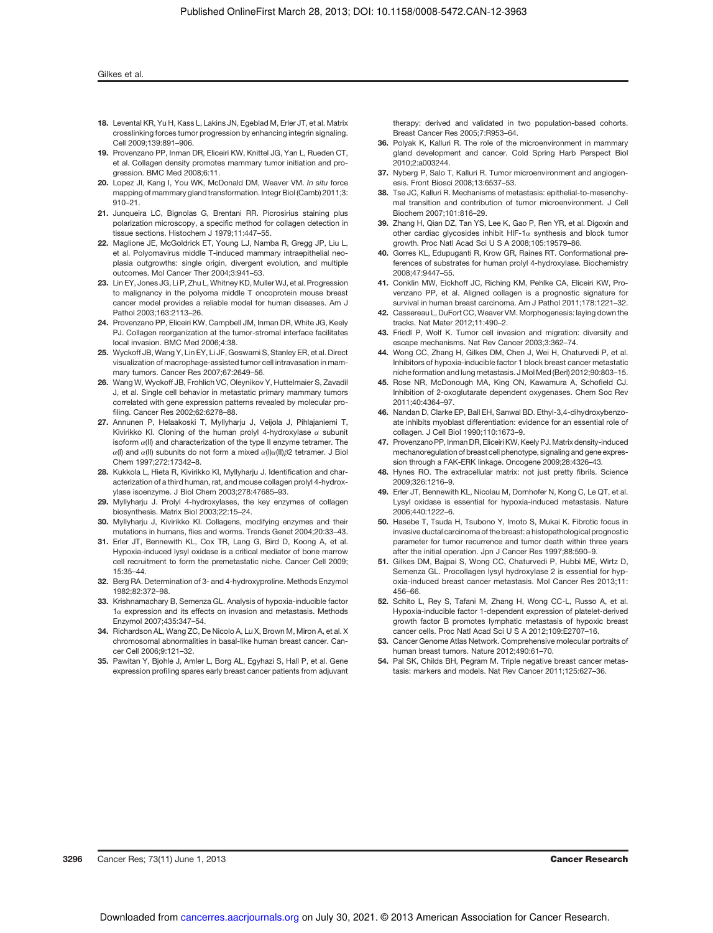#### Gilkes et al.

- 18. Levental KR, Yu H, Kass L, Lakins JN, Egeblad M, Erler JT, et al. Matrix crosslinking forces tumor progression by enhancing integrin signaling. Cell 2009;139:891–906.
- 19. Provenzano PP, Inman DR, Eliceiri KW, Knittel JG, Yan L, Rueden CT, et al. Collagen density promotes mammary tumor initiation and progression. BMC Med 2008;6:11.
- 20. Lopez Jl, Kang I, You WK, McDonald DM, Weaver VM. In situ force mapping of mammary gland transformation. Integr Biol (Camb) 2011;3: 910–21.
- 21. Junqueira LC, Bignolas G, Brentani RR. Picrosirius staining plus polarization microscopy, a specific method for collagen detection in tissue sections. Histochem J 1979;11:447–55.
- 22. Maglione JE, McGoldrick ET, Young LJ, Namba R, Gregg JP, Liu L, et al. Polyomavirus middle T-induced mammary intraepithelial neoplasia outgrowths: single origin, divergent evolution, and multiple outcomes. Mol Cancer Ther 2004;3:941–53.
- 23. Lin EY, Jones JG, Li P, Zhu L, Whitney KD, Muller WJ, et al. Progression to malignancy in the polyoma middle T oncoprotein mouse breast cancer model provides a reliable model for human diseases. Am J Pathol 2003;163:2113–26.
- 24. Provenzano PP, Eliceiri KW, Campbell JM, Inman DR, White JG, Keely PJ. Collagen reorganization at the tumor-stromal interface facilitates local invasion. BMC Med 2006;4:38.
- 25. Wyckoff JB, Wang Y, Lin EY, Li JF, Goswami S, Stanley ER, et al. Direct visualization of macrophage-assisted tumor cell intravasation in mammary tumors. Cancer Res 2007;67:2649–56.
- 26. Wang W, Wyckoff JB, Frohlich VC, Oleynikov Y, Huttelmaier S, Zavadil J, et al. Single cell behavior in metastatic primary mammary tumors correlated with gene expression patterns revealed by molecular profiling. Cancer Res 2002;62:6278–88.
- 27. Annunen P, Helaakoski T, Myllyharju J, Veijola J, Pihlajaniemi T, Kivirikko KI. Cloning of the human prolyl 4-hydroxylase  $\alpha$  subunit isoform  $\alpha$ (II) and characterization of the type II enzyme tetramer. The  $\alpha$ (I) and  $\alpha$ (II) subunits do not form a mixed  $\alpha$ (I) $\alpha$ (II) $\beta$ 2 tetramer. J Biol Chem 1997;272:17342–8.
- 28. Kukkola L, Hieta R, Kivirikko KI, Myllyharju J. Identification and characterization of a third human, rat, and mouse collagen prolyl 4-hydroxylase isoenzyme. J Biol Chem 2003;278:47685–93.
- 29. Myllyharju J. Prolyl 4-hydroxylases, the key enzymes of collagen biosynthesis. Matrix Biol 2003;22:15–24.
- 30. Myllyharju J, Kivirikko KI. Collagens, modifying enzymes and their mutations in humans, flies and worms. Trends Genet 2004;20:33–43.
- 31. Erler JT, Bennewith KL, Cox TR, Lang G, Bird D, Koong A, et al. Hypoxia-induced lysyl oxidase is a critical mediator of bone marrow cell recruitment to form the premetastatic niche. Cancer Cell 2009; 15:35–44.
- 32. Berg RA. Determination of 3- and 4-hydroxyproline. Methods Enzymol 1982;82:372–98.
- 33. Krishnamachary B, Semenza GL. Analysis of hypoxia-inducible factor  $1\alpha$  expression and its effects on invasion and metastasis. Methods Enzymol 2007;435:347–54.
- 34. Richardson AL, Wang ZC, De Nicolo A, Lu X, Brown M, Miron A, et al. X chromosomal abnormalities in basal-like human breast cancer. Cancer Cell 2006;9:121–32.
- 35. Pawitan Y, Bjohle J, Amler L, Borg AL, Egyhazi S, Hall P, et al. Gene expression profiling spares early breast cancer patients from adjuvant

therapy: derived and validated in two population-based cohorts. Breast Cancer Res 2005;7:R953–64.

- 36. Polyak K, Kalluri R. The role of the microenvironment in mammary gland development and cancer. Cold Spring Harb Perspect Biol 2010;2:a003244.
- 37. Nyberg P, Salo T, Kalluri R. Tumor microenvironment and angiogenesis. Front Biosci 2008;13:6537–53.
- 38. Tse JC, Kalluri R. Mechanisms of metastasis: epithelial-to-mesenchymal transition and contribution of tumor microenvironment. J Cell Biochem 2007;101:816–29.
- 39. Zhang H, Qian DZ, Tan YS, Lee K, Gao P, Ren YR, et al. Digoxin and other cardiac glycosides inhibit HIF-1 $\alpha$  synthesis and block tumor growth. Proc Natl Acad Sci U S A 2008;105:19579–86.
- 40. Gorres KL, Edupuganti R, Krow GR, Raines RT. Conformational preferences of substrates for human prolyl 4-hydroxylase. Biochemistry 2008;47:9447–55.
- 41. Conklin MW, Eickhoff JC, Riching KM, Pehlke CA, Eliceiri KW, Provenzano PP, et al. Aligned collagen is a prognostic signature for survival in human breast carcinoma. Am J Pathol 2011;178:1221–32.
- 42. Cassereau L, DuFort CC, Weaver VM. Morphogenesis: laying down the tracks. Nat Mater 2012;11:490–2.
- 43. Friedl P, Wolf K. Tumor cell invasion and migration: diversity and escape mechanisms. Nat Rev Cancer 2003;3:362–74.
- 44. Wong CC, Zhang H, Gilkes DM, Chen J, Wei H, Chaturvedi P, et al. Inhibitors of hypoxia-inducible factor 1 block breast cancer metastatic niche formation and lung metastasis. J Mol Med (Berl) 2012;90:803–15.
- 45. Rose NR, McDonough MA, King ON, Kawamura A, Schofield CJ. Inhibition of 2-oxoglutarate dependent oxygenases. Chem Soc Rev 2011;40:4364–97.
- 46. Nandan D, Clarke EP, Ball EH, Sanwal BD. Ethyl-3,4-dihydroxybenzoate inhibits myoblast differentiation: evidence for an essential role of collagen. J Cell Biol 1990;110:1673–9.
- 47. Provenzano PP, Inman DR, Eliceiri KW, Keely PJ. Matrix density-induced mechanoregulation of breast cell phenotype, signaling and gene expression through a FAK-ERK linkage. Oncogene 2009;28:4326–43.
- 48. Hynes RO. The extracellular matrix: not just pretty fibrils. Science 2009;326:1216–9.
- 49. Erler JT, Bennewith KL, Nicolau M, Dornhofer N, Kong C, Le QT, et al. Lysyl oxidase is essential for hypoxia-induced metastasis. Nature 2006;440:1222–6.
- 50. Hasebe T, Tsuda H, Tsubono Y, Imoto S, Mukai K. Fibrotic focus in invasive ductal carcinoma of the breast: a histopathological prognostic parameter for tumor recurrence and tumor death within three years after the initial operation. Jpn J Cancer Res 1997;88:590–9.
- 51. Gilkes DM, Bajpai S, Wong CC, Chaturvedi P, Hubbi ME, Wirtz D, Semenza GL. Procollagen lysyl hydroxylase 2 is essential for hypoxia-induced breast cancer metastasis. Mol Cancer Res 2013;11: 456–66.
- 52. Schito L, Rey S, Tafani M, Zhang H, Wong CC-L, Russo A, et al. Hypoxia-inducible factor 1-dependent expression of platelet-derived growth factor B promotes lymphatic metastasis of hypoxic breast cancer cells. Proc Natl Acad Sci U S A 2012;109:E2707–16.
- 53. Cancer Genome Atlas Network. Comprehensive molecular portraits of human breast tumors. Nature 2012;490:61–70.
- 54. Pal SK, Childs BH, Pegram M. Triple negative breast cancer metastasis: markers and models. Nat Rev Cancer 2011;125:627–36.